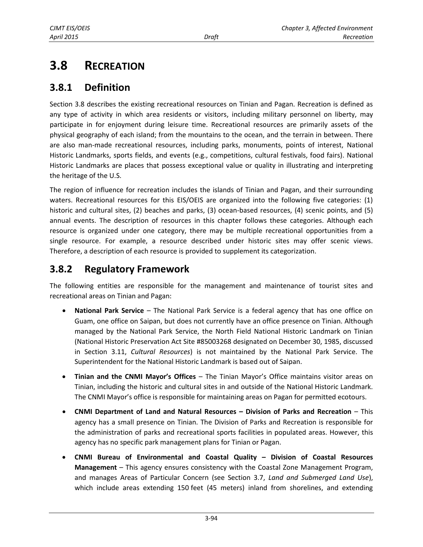# **3.8 RECREATION**

## **3.8.1 Definition**

Section 3.8 describes the existing recreational resources on Tinian and Pagan. Recreation is defined as any type of activity in which area residents or visitors, including military personnel on liberty, may participate in for enjoyment during leisure time. Recreational resources are primarily assets of the physical geography of each island; from the mountains to the ocean, and the terrain in between. There are also man-made recreational resources, including parks, monuments, points of interest, National Historic Landmarks, sports fields, and events (e.g., competitions, cultural festivals, food fairs). National Historic Landmarks are places that possess exceptional value or quality in illustrating and interpreting the heritage of the U.S.

The region of influence for recreation includes the islands of Tinian and Pagan, and their surrounding waters. Recreational resources for this EIS/OEIS are organized into the following five categories: (1) historic and cultural sites, (2) beaches and parks, (3) ocean-based resources, (4) scenic points, and (5) annual events. The description of resources in this chapter follows these categories. Although each resource is organized under one category, there may be multiple recreational opportunities from a single resource. For example, a resource described under historic sites may offer scenic views. Therefore, a description of each resource is provided to supplement its categorization.

## **3.8.2 Regulatory Framework**

The following entities are responsible for the management and maintenance of tourist sites and recreational areas on Tinian and Pagan:

- **National Park Service** The National Park Service is a federal agency that has one office on Guam, one office on Saipan, but does not currently have an office presence on Tinian. Although managed by the National Park Service, the North Field National Historic Landmark on Tinian (National Historic Preservation Act Site #85003268 designated on December 30, 1985, discussed in Section 3.11, *Cultural Resources*) is not maintained by the National Park Service. The Superintendent for the National Historic Landmark is based out of Saipan.
- **Tinian and the CNMI Mayor's Offices** The Tinian Mayor's Office maintains visitor areas on Tinian, including the historic and cultural sites in and outside of the National Historic Landmark. The CNMI Mayor's office is responsible for maintaining areas on Pagan for permitted ecotours.
- **CNMI Department of Land and Natural Resources – Division of Parks and Recreation** This agency has a small presence on Tinian. The Division of Parks and Recreation is responsible for the administration of parks and recreational sports facilities in populated areas. However, this agency has no specific park management plans for Tinian or Pagan.
- **CNMI Bureau of Environmental and Coastal Quality – Division of Coastal Resources Management** – This agency ensures consistency with the Coastal Zone Management Program, and manages Areas of Particular Concern (see Section 3.7, *Land and Submerged Land Use*), which include areas extending 150 feet (45 meters) inland from shorelines, and extending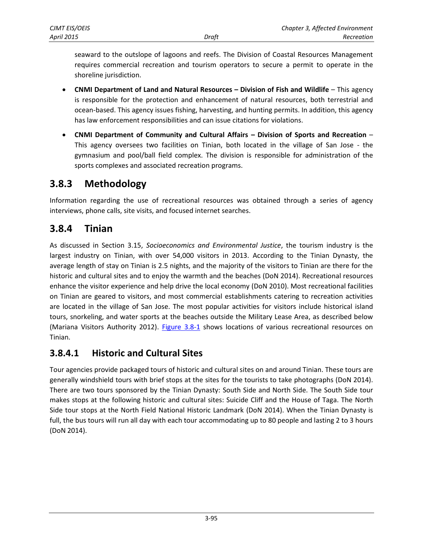seaward to the outslope of lagoons and reefs. The Division of Coastal Resources Management requires commercial recreation and tourism operators to secure a permit to operate in the shoreline jurisdiction.

- **CNMI Department of Land and Natural Resources – Division of Fish and Wildlife** This agency is responsible for the protection and enhancement of natural resources, both terrestrial and ocean-based. This agency issues fishing, harvesting, and hunting permits. In addition, this agency has law enforcement responsibilities and can issue citations for violations.
- **CNMI Department of Community and Cultural Affairs – Division of Sports and Recreation** This agency oversees two facilities on Tinian, both located in the village of San Jose - the gymnasium and pool/ball field complex. The division is responsible for administration of the sports complexes and associated recreation programs.

## **3.8.3 Methodology**

Information regarding the use of recreational resources was obtained through a series of agency interviews, phone calls, site visits, and focused internet searches.

## **3.8.4 Tinian**

As discussed in Section 3.15, *Socioeconomics and Environmental Justice*, the tourism industry is the largest industry on Tinian, with over 54,000 visitors in 2013. According to the Tinian Dynasty, the average length of stay on Tinian is 2.5 nights, and the majority of the visitors to Tinian are there for the historic and cultural sites and to enjoy the warmth and the beaches (DoN 2014). Recreational resources enhance the visitor experience and help drive the local economy (DoN 2010). Most recreational facilities on Tinian are geared to visitors, and most commercial establishments catering to recreation activities are located in the village of San Jose. The most popular activities for visitors include historical island tours, snorkeling, and water sports at the beaches outside the Military Lease Area, as described below (Mariana Visitors Authority 2012). [Figure 3.8-1](#page-2-0) shows locations of various recreational resources on Tinian.

## <span id="page-1-0"></span>**3.8.4.1 Historic and Cultural Sites**

Tour agencies provide packaged tours of historic and cultural sites on and around Tinian. These tours are generally windshield tours with brief stops at the sites for the tourists to take photographs (DoN 2014). There are two tours sponsored by the Tinian Dynasty: South Side and North Side. The South Side tour makes stops at the following historic and cultural sites: Suicide Cliff and the House of Taga. The North Side tour stops at the North Field National Historic Landmark (DoN 2014). When the Tinian Dynasty is full, the bus tours will run all day with each tour accommodating up to 80 people and lasting 2 to 3 hours (DoN 2014).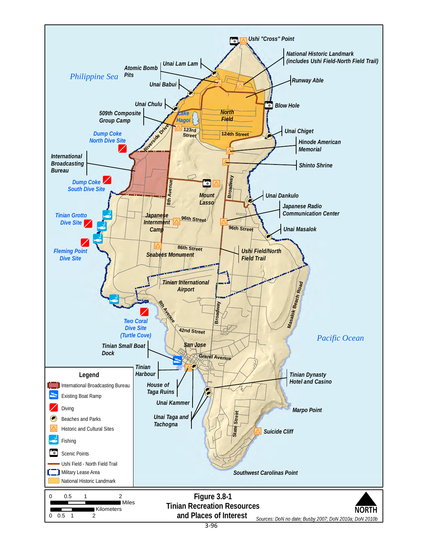<span id="page-2-0"></span>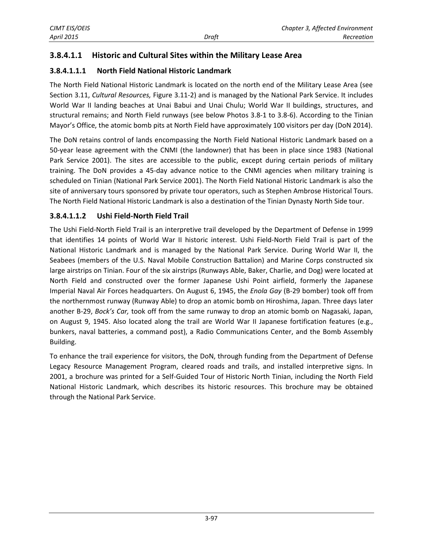## **3.8.4.1.1 Historic and Cultural Sites within the Military Lease Area**

### **3.8.4.1.1.1 North Field National Historic Landmark**

The North Field National Historic Landmark is located on the north end of the Military Lease Area (see Section 3.11, *Cultural Resources,* Figure 3.11-2) and is managed by the National Park Service. It includes World War II landing beaches at Unai Babui and Unai Chulu; World War II buildings, structures, and structural remains; and North Field runways (see below Photos 3.8-1 to 3.8-6). According to the Tinian Mayor's Office, the atomic bomb pits at North Field have approximately 100 visitors per day (DoN 2014).

The DoN retains control of lands encompassing the North Field National Historic Landmark based on a 50-year lease agreement with the CNMI (the landowner) that has been in place since 1983 (National Park Service 2001). The sites are accessible to the public, except during certain periods of military training. The DoN provides a 45-day advance notice to the CNMI agencies when military training is scheduled on Tinian (National Park Service 2001). The North Field National Historic Landmark is also the site of anniversary tours sponsored by private tour operators, such as Stephen Ambrose Historical Tours. The North Field National Historic Landmark is also a destination of the Tinian Dynasty North Side tour.

#### **3.8.4.1.1.2 Ushi Field-North Field Trail**

The Ushi Field-North Field Trail is an interpretive trail developed by the Department of Defense in 1999 that identifies 14 points of World War II historic interest. Ushi Field-North Field Trail is part of the National Historic Landmark and is managed by the National Park Service. During World War II, the Seabees (members of the U.S. Naval Mobile Construction Battalion) and Marine Corps constructed six large airstrips on Tinian. Four of the six airstrips (Runways Able, Baker, Charlie, and Dog) were located at North Field and constructed over the former Japanese Ushi Point airfield, formerly the Japanese Imperial Naval Air Forces headquarters. On August 6, 1945, the *Enola Gay* (B-29 bomber) took off from the northernmost runway (Runway Able) to drop an atomic bomb on Hiroshima, Japan. Three days later another B-29, *Bock's Car,* took off from the same runway to drop an atomic bomb on Nagasaki, Japan, on August 9, 1945. Also located along the trail are World War II Japanese fortification features (e.g., bunkers, naval batteries, a command post), a Radio Communications Center, and the Bomb Assembly Building.

To enhance the trail experience for visitors, the DoN, through funding from the Department of Defense Legacy Resource Management Program, cleared roads and trails, and installed interpretive signs. In 2001, a brochure was printed for a Self-Guided Tour of Historic North Tinian, including the North Field National Historic Landmark, which describes its historic resources. This brochure may be obtained through the National Park Service.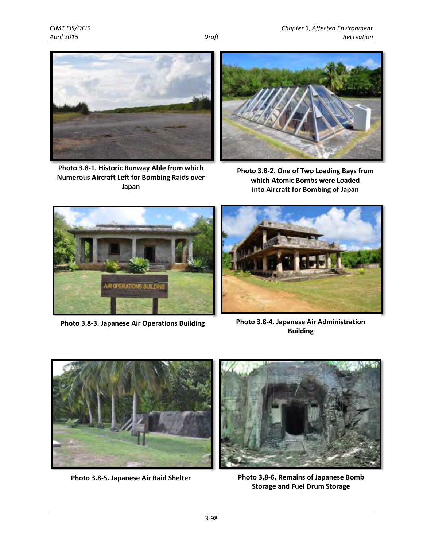

**Photo 3.8-1. Historic Runway Able from which Numerous Aircraft Left for Bombing Raids over Japan**



**Photo 3.8-2. One of Two Loading Bays from which Atomic Bombs were Loaded into Aircraft for Bombing of Japan** 





**Photo 3.8-3. Japanese Air Operations Building Photo 3.8-4. Japanese Air Administration Building**



**Photo 3.8-5. Japanese Air Raid Shelter Photo 3.8-6. Remains of Japanese Bomb Storage and Fuel Drum Storage**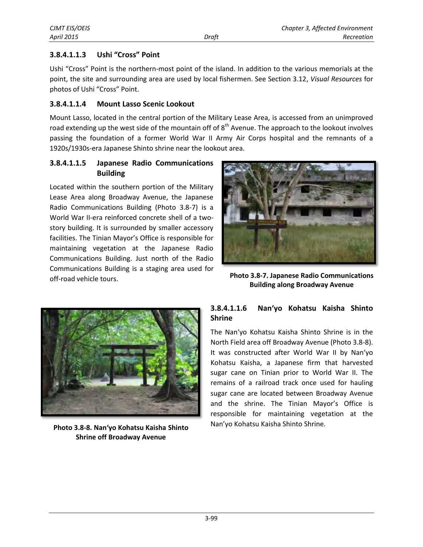#### **3.8.4.1.1.3 Ushi "Cross" Point**

Ushi "Cross" Point is the northern-most point of the island. In addition to the various memorials at the point, the site and surrounding area are used by local fishermen. See Section 3.12, *Visual Resources* for photos of Ushi "Cross" Point.

#### **3.8.4.1.1.4 Mount Lasso Scenic Lookout**

Mount Lasso, located in the central portion of the Military Lease Area, is accessed from an unimproved road extending up the west side of the mountain off of 8<sup>th</sup> Avenue. The approach to the lookout involves passing the foundation of a former World War II Army Air Corps hospital and the remnants of a 1920s/1930s-era Japanese Shinto shrine near the lookout area.

#### **3.8.4.1.1.5 Japanese Radio Communications Building**

Located within the southern portion of the Military Lease Area along Broadway Avenue, the Japanese Radio Communications Building (Photo 3.8-7) is a World War II-era reinforced concrete shell of a twostory building. It is surrounded by smaller accessory facilities. The Tinian Mayor's Office is responsible for maintaining vegetation at the Japanese Radio Communications Building. Just north of the Radio Communications Building is a staging area used for off-road vehicle tours.



**Photo 3.8-7. Japanese Radio Communications Building along Broadway Avenue**



**Photo 3.8-8. Nan'yo Kohatsu Kaisha Shinto Shrine off Broadway Avenue**

#### **3.8.4.1.1.6 Nan'yo Kohatsu Kaisha Shinto Shrine**

The Nan'yo Kohatsu Kaisha Shinto Shrine is in the North Field area off Broadway Avenue (Photo 3.8-8). It was constructed after World War II by Nan'yo Kohatsu Kaisha, a Japanese firm that harvested sugar cane on Tinian prior to World War II. The remains of a railroad track once used for hauling sugar cane are located between Broadway Avenue and the shrine. The Tinian Mayor's Office is responsible for maintaining vegetation at the Nan'yo Kohatsu Kaisha Shinto Shrine.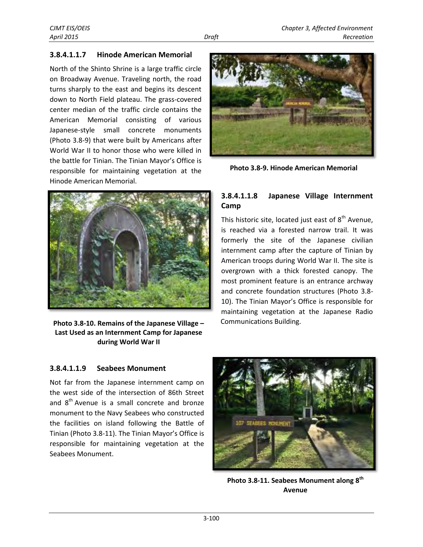#### **3.8.4.1.1.7 Hinode American Memorial**

North of the Shinto Shrine is a large traffic circle on Broadway Avenue. Traveling north, the road turns sharply to the east and begins its descent down to North Field plateau. The grass-covered center median of the traffic circle contains the American Memorial consisting of various Japanese-style small concrete monuments (Photo 3.8-9) that were built by Americans after World War II to honor those who were killed in the battle for Tinian. The Tinian Mayor's Office is responsible for maintaining vegetation at the Hinode American Memorial.



**Photo 3.8-9. Hinode American Memorial**



**Photo 3.8-10. Remains of the Japanese Village – Last Used as an Internment Camp for Japanese during World War II** 

#### **3.8.4.1.1.8 Japanese Village Internment Camp**

This historic site, located just east of  $8<sup>th</sup>$  Avenue, is reached via a forested narrow trail. It was formerly the site of the Japanese civilian internment camp after the capture of Tinian by American troops during World War II. The site is overgrown with a thick forested canopy. The most prominent feature is an entrance archway and concrete foundation structures (Photo 3.8- 10). The Tinian Mayor's Office is responsible for maintaining vegetation at the Japanese Radio Communications Building.

## **3.8.4.1.1.9 Seabees Monument**

Not far from the Japanese internment camp on the west side of the intersection of 86th Street and  $8<sup>th</sup>$  Avenue is a small concrete and bronze monument to the Navy Seabees who constructed the facilities on island following the Battle of Tinian (Photo 3.8-11). The Tinian Mayor's Office is responsible for maintaining vegetation at the Seabees Monument.



**Photo 3.8-11. Seabees Monument along 8th Avenue**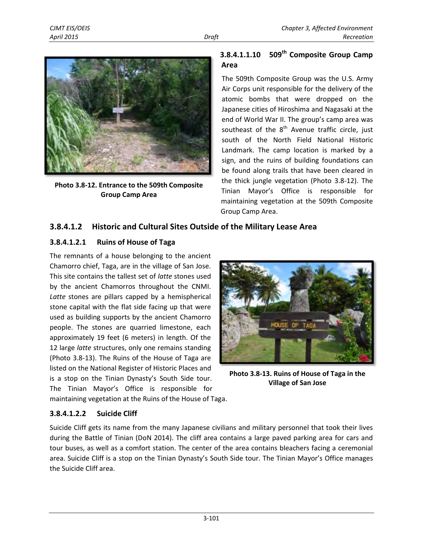

**Photo 3.8-12. Entrance to the 509th Composite Group Camp Area** 

## **509th 3.8.4.1.1.10 Composite Group Camp Area**

The 509th Composite Group was the U.S. Army Air Corps unit responsible for the delivery of the atomic bombs that were dropped on the Japanese cities of Hiroshima and Nagasaki at the end of World War II. The group's camp area was southeast of the  $8<sup>th</sup>$  Avenue traffic circle, just south of the North Field National Historic Landmark. The camp location is marked by a sign, and the ruins of building foundations can be found along trails that have been cleared in the thick jungle vegetation (Photo 3.8-12). The Tinian Mayor's Office is responsible for maintaining vegetation at the 509th Composite Group Camp Area.

## **3.8.4.1.2 Historic and Cultural Sites Outside of the Military Lease Area**

## **3.8.4.1.2.1 Ruins of House of Taga**

The remnants of a house belonging to the ancient Chamorro chief, Taga, are in the village of San Jose. This site contains the tallest set of *latte* stones used by the ancient Chamorros throughout the CNMI. *Latte* stones are pillars capped by a hemispherical stone capital with the flat side facing up that were used as building supports by the ancient Chamorro people. The stones are quarried limestone, each approximately 19 feet (6 meters) in length. Of the 12 large *latte* structures, only one remains standing (Photo 3.8-13). The Ruins of the House of Taga are listed on the National Register of Historic Places and is a stop on the Tinian Dynasty's South Side tour. The Tinian Mayor's Office is responsible for



**Photo 3.8-13. Ruins of House of Taga in the Village of San Jose** 

maintaining vegetation at the Ruins of the House of Taga.

## **3.8.4.1.2.2 Suicide Cliff**

Suicide Cliff gets its name from the many Japanese civilians and military personnel that took their lives during the Battle of Tinian (DoN 2014). The cliff area contains a large paved parking area for cars and tour buses, as well as a comfort station. The center of the area contains bleachers facing a ceremonial area. Suicide Cliff is a stop on the Tinian Dynasty's South Side tour. The Tinian Mayor's Office manages the Suicide Cliff area.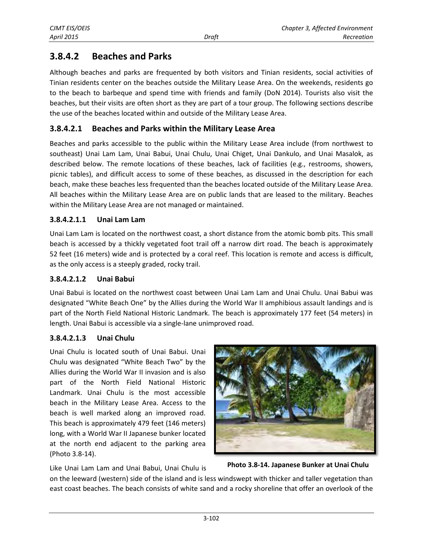## **3.8.4.2 Beaches and Parks**

Although beaches and parks are frequented by both visitors and Tinian residents, social activities of Tinian residents center on the beaches outside the Military Lease Area. On the weekends, residents go to the beach to barbeque and spend time with friends and family (DoN 2014). Tourists also visit the beaches, but their visits are often short as they are part of a tour group. The following sections describe the use of the beaches located within and outside of the Military Lease Area.

#### **3.8.4.2.1 Beaches and Parks within the Military Lease Area**

Beaches and parks accessible to the public within the Military Lease Area include (from northwest to southeast) Unai Lam Lam, Unai Babui, Unai Chulu, Unai Chiget, Unai Dankulo, and Unai Masalok, as described below. The remote locations of these beaches, lack of facilities (e.g., restrooms, showers, picnic tables), and difficult access to some of these beaches, as discussed in the description for each beach, make these beaches less frequented than the beaches located outside of the Military Lease Area. All beaches within the Military Lease Area are on public lands that are leased to the military. Beaches within the Military Lease Area are not managed or maintained.

#### **3.8.4.2.1.1 Unai Lam Lam**

Unai Lam Lam is located on the northwest coast, a short distance from the atomic bomb pits. This small beach is accessed by a thickly vegetated foot trail off a narrow dirt road. The beach is approximately 52 feet (16 meters) wide and is protected by a coral reef. This location is remote and access is difficult, as the only access is a steeply graded, rocky trail.

#### **3.8.4.2.1.2 Unai Babui**

Unai Babui is located on the northwest coast between Unai Lam Lam and Unai Chulu. Unai Babui was designated "White Beach One" by the Allies during the World War II amphibious assault landings and is part of the North Field National Historic Landmark. The beach is approximately 177 feet (54 meters) in length. Unai Babui is accessible via a single-lane unimproved road.

#### **3.8.4.2.1.3 Unai Chulu**

Unai Chulu is located south of Unai Babui. Unai Chulu was designated "White Beach Two" by the Allies during the World War II invasion and is also part of the North Field National Historic Landmark. Unai Chulu is the most accessible beach in the Military Lease Area. Access to the beach is well marked along an improved road. This beach is approximately 479 feet (146 meters) long, with a World War II Japanese bunker located at the north end adjacent to the parking area (Photo 3.8-14).



Like Unai Lam Lam and Unai Babui, Unai Chulu is

**Photo 3.8-14. Japanese Bunker at Unai Chulu**

on the leeward (western) side of the island and is less windswept with thicker and taller vegetation than east coast beaches. The beach consists of white sand and a rocky shoreline that offer an overlook of the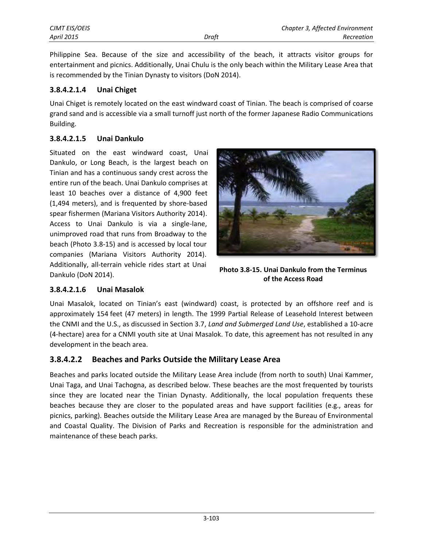Philippine Sea. Because of the size and accessibility of the beach, it attracts visitor groups for entertainment and picnics. Additionally, Unai Chulu is the only beach within the Military Lease Area that is recommended by the Tinian Dynasty to visitors (DoN 2014).

#### **3.8.4.2.1.4 Unai Chiget**

Unai Chiget is remotely located on the east windward coast of Tinian. The beach is comprised of coarse grand sand and is accessible via a small turnoff just north of the former Japanese Radio Communications Building.

#### **3.8.4.2.1.5 Unai Dankulo**

Situated on the east windward coast, Unai Dankulo, or Long Beach, is the largest beach on Tinian and has a continuous sandy crest across the entire run of the beach. Unai Dankulo comprises at least 10 beaches over a distance of 4,900 feet (1,494 meters), and is frequented by shore-based spear fishermen (Mariana Visitors Authority 2014). Access to Unai Dankulo is via a single-lane, unimproved road that runs from Broadway to the beach (Photo 3.8-15) and is accessed by local tour companies (Mariana Visitors Authority 2014). Additionally, all-terrain vehicle rides start at Unai Dankulo (DoN 2014).



**Photo 3.8-15. Unai Dankulo from the Terminus of the Access Road**

#### **3.8.4.2.1.6 Unai Masalok**

Unai Masalok, located on Tinian's east (windward) coast, is protected by an offshore reef and is approximately 154 feet (47 meters) in length. The 1999 Partial Release of Leasehold Interest between the CNMI and the U.S., as discussed in Section 3.7, *Land and Submerged Land Use*, established a 10-acre (4-hectare) area for a CNMI youth site at Unai Masalok. To date, this agreement has not resulted in any development in the beach area.

## **3.8.4.2.2 Beaches and Parks Outside the Military Lease Area**

Beaches and parks located outside the Military Lease Area include (from north to south) Unai Kammer, Unai Taga, and Unai Tachogna, as described below. These beaches are the most frequented by tourists since they are located near the Tinian Dynasty. Additionally, the local population frequents these beaches because they are closer to the populated areas and have support facilities (e.g., areas for picnics, parking). Beaches outside the Military Lease Area are managed by the Bureau of Environmental and Coastal Quality. The Division of Parks and Recreation is responsible for the administration and maintenance of these beach parks.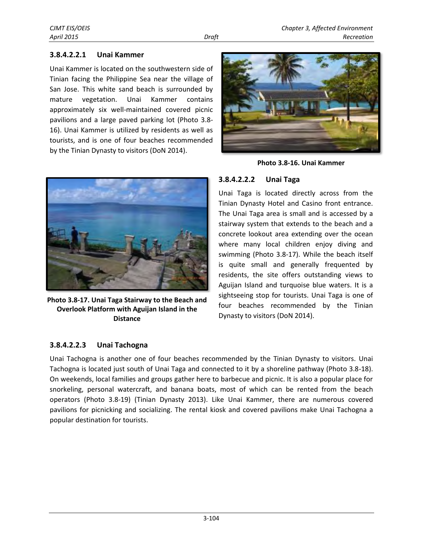#### **3.8.4.2.2.1 Unai Kammer**

Unai Kammer is located on the southwestern side of Tinian facing the Philippine Sea near the village of San Jose. This white sand beach is surrounded by mature vegetation. Unai Kammer contains approximately six well-maintained covered picnic pavilions and a large paved parking lot (Photo 3.8- 16). Unai Kammer is utilized by residents as well as tourists, and is one of four beaches recommended by the Tinian Dynasty to visitors (DoN 2014).



**Photo 3.8-17. Unai Taga Stairway to the Beach and Overlook Platform with Aguijan Island in the Distance**

## **3.8.4.2.2.3 Unai Tachogna**



**Photo 3.8-16. Unai Kammer**

#### **3.8.4.2.2.2 Unai Taga**

Unai Taga is located directly across from the Tinian Dynasty Hotel and Casino front entrance. The Unai Taga area is small and is accessed by a stairway system that extends to the beach and a concrete lookout area extending over the ocean where many local children enjoy diving and swimming (Photo 3.8-17). While the beach itself is quite small and generally frequented by residents, the site offers outstanding views to Aguijan Island and turquoise blue waters. It is a sightseeing stop for tourists. Unai Taga is one of four beaches recommended by the Tinian Dynasty to visitors (DoN 2014).

Unai Tachogna is another one of four beaches recommended by the Tinian Dynasty to visitors. Unai Tachogna is located just south of Unai Taga and connected to it by a shoreline pathway (Photo 3.8-18). On weekends, local families and groups gather here to barbecue and picnic. It is also a popular place for snorkeling, personal watercraft, and banana boats, most of which can be rented from the beach operators (Photo 3.8-19) (Tinian Dynasty 2013). Like Unai Kammer, there are numerous covered pavilions for picnicking and socializing. The rental kiosk and covered pavilions make Unai Tachogna a popular destination for tourists.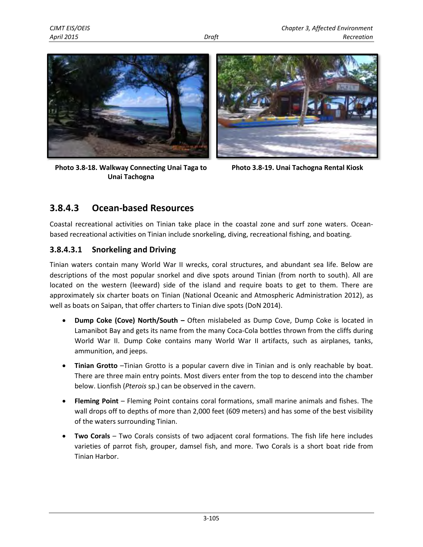

**Photo 3.8-18. Walkway Connecting Unai Taga to Unai Tachogna** 



**Photo 3.8-19. Unai Tachogna Rental Kiosk** 

## **3.8.4.3 Ocean-based Resources**

Coastal recreational activities on Tinian take place in the coastal zone and surf zone waters. Oceanbased recreational activities on Tinian include snorkeling, diving, recreational fishing, and boating.

## **3.8.4.3.1 Snorkeling and Driving**

Tinian waters contain many World War II wrecks, coral structures, and abundant sea life. Below are descriptions of the most popular snorkel and dive spots around Tinian (from north to south). All are located on the western (leeward) side of the island and require boats to get to them. There are approximately six charter boats on Tinian (National Oceanic and Atmospheric Administration 2012), as well as boats on Saipan, that offer charters to Tinian dive spots (DoN 2014).

- **Dump Coke (Cove) North/South –** Often mislabeled as Dump Cove, Dump Coke is located in Lamanibot Bay and gets its name from the many Coca-Cola bottles thrown from the cliffs during World War II. Dump Coke contains many World War II artifacts, such as airplanes, tanks, ammunition, and jeeps.
- **Tinian Grotto** –Tinian Grotto is a popular cavern dive in Tinian and is only reachable by boat. There are three main entry points. Most divers enter from the top to descend into the chamber below. Lionfish (*Pterois* sp.) can be observed in the cavern.
- **Fleming Point**  Fleming Point contains coral formations, small marine animals and fishes. The wall drops off to depths of more than 2,000 feet (609 meters) and has some of the best visibility of the waters surrounding Tinian.
- **Two Corals**  Two Corals consists of two adjacent coral formations. The fish life here includes varieties of parrot fish, grouper, damsel fish, and more. Two Corals is a short boat ride from Tinian Harbor.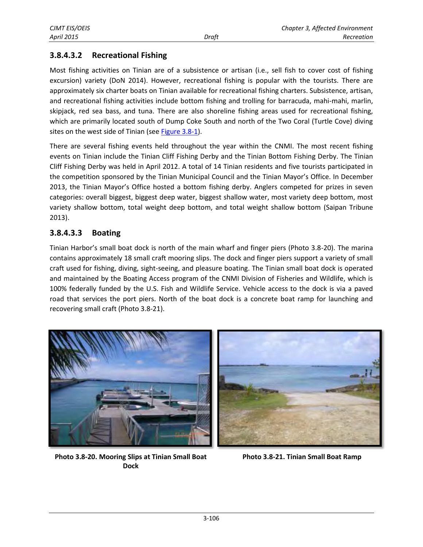## **3.8.4.3.2 Recreational Fishing**

Most fishing activities on Tinian are of a subsistence or artisan (i.e., sell fish to cover cost of fishing excursion) variety (DoN 2014). However, recreational fishing is popular with the tourists. There are approximately six charter boats on Tinian available for recreational fishing charters. Subsistence, artisan, and recreational fishing activities include bottom fishing and trolling for barracuda, mahi-mahi, marlin, skipjack, red sea bass, and tuna. There are also shoreline fishing areas used for recreational fishing, which are primarily located south of Dump Coke South and north of the Two Coral (Turtle Cove) diving sites on the west side of Tinian (see [Figure 3.8-1\)](#page-2-0).

There are several fishing events held throughout the year within the CNMI. The most recent fishing events on Tinian include the Tinian Cliff Fishing Derby and the Tinian Bottom Fishing Derby. The Tinian Cliff Fishing Derby was held in April 2012. A total of 14 Tinian residents and five tourists participated in the competition sponsored by the Tinian Municipal Council and the Tinian Mayor's Office. In December 2013, the Tinian Mayor's Office hosted a bottom fishing derby. Anglers competed for prizes in seven categories: overall biggest, biggest deep water, biggest shallow water, most variety deep bottom, most variety shallow bottom, total weight deep bottom, and total weight shallow bottom (Saipan Tribune 2013).

#### **3.8.4.3.3 Boating**

Tinian Harbor's small boat dock is north of the main wharf and finger piers (Photo 3.8-20). The marina contains approximately 18 small craft mooring slips. The dock and finger piers support a variety of small craft used for fishing, diving, sight-seeing, and pleasure boating. The Tinian small boat dock is operated and maintained by the Boating Access program of the CNMI Division of Fisheries and Wildlife, which is 100% federally funded by the U.S. Fish and Wildlife Service. Vehicle access to the dock is via a paved road that services the port piers. North of the boat dock is a concrete boat ramp for launching and recovering small craft (Photo 3.8-21).



**Photo 3.8-20. Mooring Slips at Tinian Small Boat Photo 3.8-21. Tinian Small Boat Ramp Dock**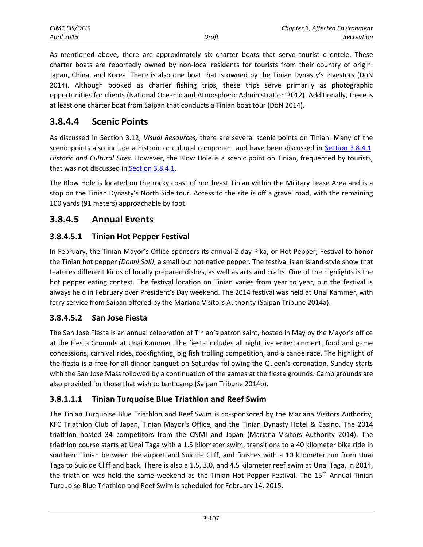| CJMT EIS/OEIS |       | Chapter 3, Affected Environment |
|---------------|-------|---------------------------------|
| April 2015    | Draft | Recreation                      |

As mentioned above, there are approximately six charter boats that serve tourist clientele. These charter boats are reportedly owned by non-local residents for tourists from their country of origin: Japan, China, and Korea. There is also one boat that is owned by the Tinian Dynasty's investors (DoN 2014). Although booked as charter fishing trips, these trips serve primarily as photographic opportunities for clients (National Oceanic and Atmospheric Administration 2012). Additionally, there is at least one charter boat from Saipan that conducts a Tinian boat tour (DoN 2014).

## **3.8.4.4 Scenic Points**

As discussed in Section 3.12, *Visual Resources,* there are several scenic points on Tinian. Many of the scenic points also include a historic or cultural component and have been discussed in **Section 3.8.4.1**, *Historic and Cultural Sites.* However, the Blow Hole is a scenic point on Tinian, frequented by tourists, that was not discussed i[n Section 3.8.4.1](#page-1-0)*.*

The Blow Hole is located on the rocky coast of northeast Tinian within the Military Lease Area and is a stop on the Tinian Dynasty's North Side tour. Access to the site is off a gravel road, with the remaining 100 yards (91 meters) approachable by foot.

## **3.8.4.5 Annual Events**

## **3.8.4.5.1 Tinian Hot Pepper Festival**

In February, the Tinian Mayor's Office sponsors its annual 2-day Pika, or Hot Pepper, Festival to honor the Tinian hot pepper *(Donni Sali)*, a small but hot native pepper. The festival is an island-style show that features different kinds of locally prepared dishes, as well as arts and crafts. One of the highlights is the hot pepper eating contest. The festival location on Tinian varies from year to year, but the festival is always held in February over President's Day weekend. The 2014 festival was held at Unai Kammer, with ferry service from Saipan offered by the Mariana Visitors Authority (Saipan Tribune 2014a).

## **3.8.4.5.2 San Jose Fiesta**

The San Jose Fiesta is an annual celebration of Tinian's patron saint, hosted in May by the Mayor's office at the Fiesta Grounds at Unai Kammer. The fiesta includes all night live entertainment, food and game concessions, carnival rides, cockfighting, big fish trolling competition, and a canoe race. The highlight of the fiesta is a free-for-all dinner banquet on Saturday following the Queen's coronation. Sunday starts with the San Jose Mass followed by a continuation of the games at the fiesta grounds. Camp grounds are also provided for those that wish to tent camp (Saipan Tribune 2014b).

## **3.8.1.1.1 Tinian Turquoise Blue Triathlon and Reef Swim**

The Tinian Turquoise Blue Triathlon and Reef Swim is co-sponsored by the Mariana Visitors Authority, KFC Triathlon Club of Japan, Tinian Mayor's Office, and the Tinian Dynasty Hotel & Casino. The 2014 triathlon hosted 34 competitors from the CNMI and Japan (Mariana Visitors Authority 2014). The triathlon course starts at Unai Taga with a 1.5 kilometer swim, transitions to a 40 kilometer bike ride in southern Tinian between the airport and Suicide Cliff, and finishes with a 10 kilometer run from Unai Taga to Suicide Cliff and back. There is also a 1.5, 3.0, and 4.5 kilometer reef swim at Unai Taga. In 2014, the triathlon was held the same weekend as the Tinian Hot Pepper Festival. The 15<sup>th</sup> Annual Tinian Turquoise Blue Triathlon and Reef Swim is scheduled for February 14, 2015.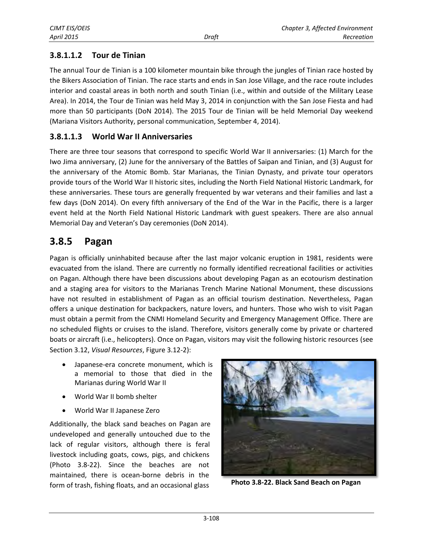## **3.8.1.1.2 Tour de Tinian**

The annual Tour de Tinian is a 100 kilometer mountain bike through the jungles of Tinian race hosted by the Bikers Association of Tinian. The race starts and ends in San Jose Village, and the race route includes interior and coastal areas in both north and south Tinian (i.e., within and outside of the Military Lease Area). In 2014, the Tour de Tinian was held May 3, 2014 in conjunction with the San Jose Fiesta and had more than 50 participants (DoN 2014). The 2015 Tour de Tinian will be held Memorial Day weekend (Mariana Visitors Authority, personal communication, September 4, 2014).

### **3.8.1.1.3 World War II Anniversaries**

There are three tour seasons that correspond to specific World War II anniversaries: (1) March for the Iwo Jima anniversary, (2) June for the anniversary of the Battles of Saipan and Tinian, and (3) August for the anniversary of the Atomic Bomb. Star Marianas, the Tinian Dynasty, and private tour operators provide tours of the World War II historic sites, including the North Field National Historic Landmark, for these anniversaries. These tours are generally frequented by war veterans and their families and last a few days (DoN 2014). On every fifth anniversary of the End of the War in the Pacific, there is a larger event held at the North Field National Historic Landmark with guest speakers. There are also annual Memorial Day and Veteran's Day ceremonies (DoN 2014).

## **3.8.5 Pagan**

Pagan is officially uninhabited because after the last major volcanic eruption in 1981, residents were evacuated from the island. There are currently no formally identified recreational facilities or activities on Pagan. Although there have been discussions about developing Pagan as an ecotourism destination and a staging area for visitors to the Marianas Trench Marine National Monument, these discussions have not resulted in establishment of Pagan as an official tourism destination. Nevertheless, Pagan offers a unique destination for backpackers, nature lovers, and hunters. Those who wish to visit Pagan must obtain a permit from the CNMI Homeland Security and Emergency Management Office. There are no scheduled flights or cruises to the island. Therefore, visitors generally come by private or chartered boats or aircraft (i.e., helicopters). Once on Pagan, visitors may visit the following historic resources (see Section 3.12, *Visual Resources*, Figure 3.12-2):

- Japanese-era concrete monument, which is a memorial to those that died in the Marianas during World War II
- World War II bomb shelter
- World War II Japanese Zero

Additionally, the black sand beaches on Pagan are undeveloped and generally untouched due to the lack of regular visitors, although there is feral livestock including goats, cows, pigs, and chickens (Photo 3.8-22). Since the beaches are not maintained, there is ocean-borne debris in the form of trash, fishing floats, and an occasional glass



**Photo 3.8-22. Black Sand Beach on Pagan**